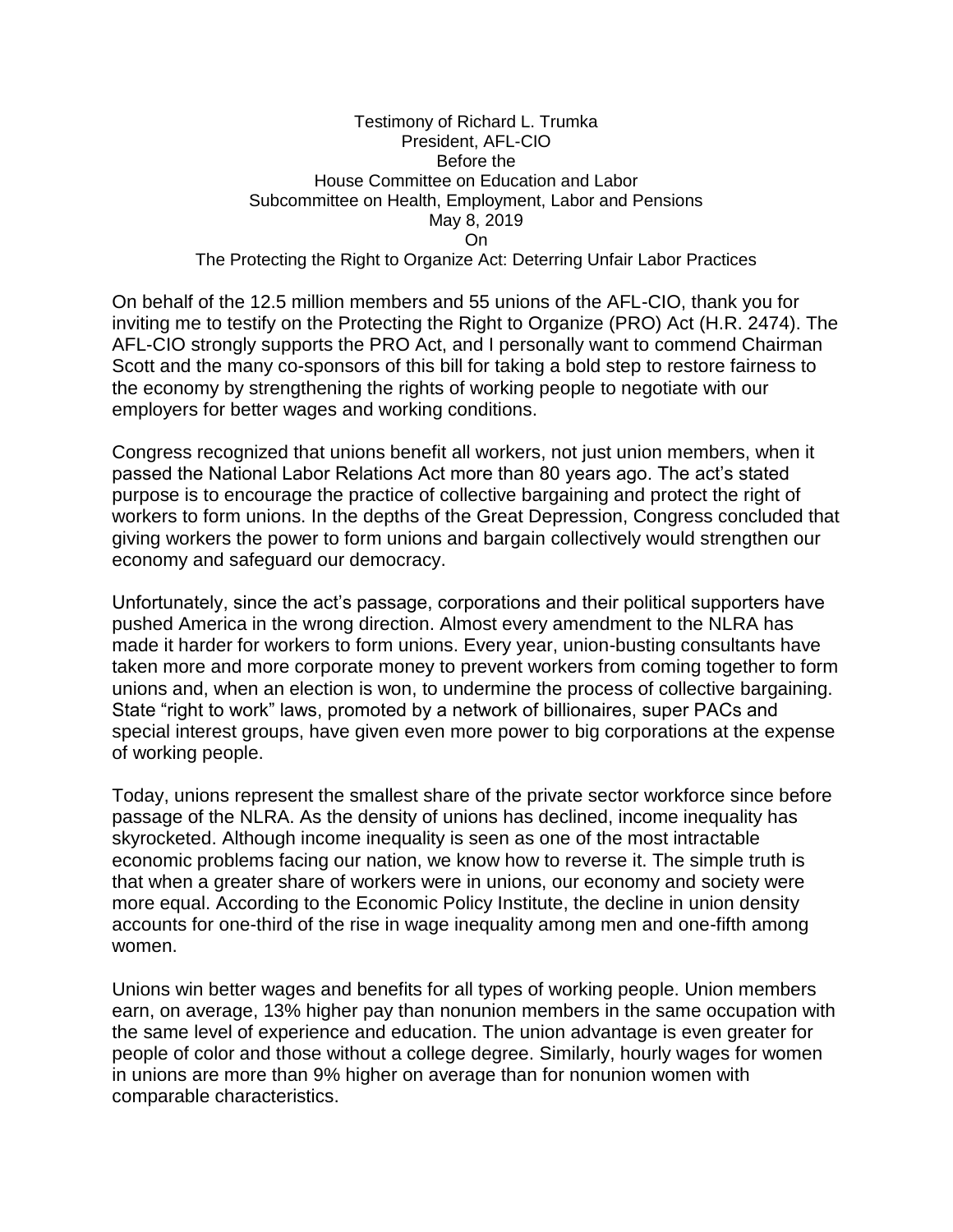## Testimony of Richard L. Trumka President, AFL-CIO Before the House Committee on Education and Labor Subcommittee on Health, Employment, Labor and Pensions May 8, 2019 On

The Protecting the Right to Organize Act: Deterring Unfair Labor Practices

On behalf of the 12.5 million members and 55 unions of the AFL-CIO, thank you for inviting me to testify on the Protecting the Right to Organize (PRO) Act (H.R. 2474). The AFL-CIO strongly supports the PRO Act, and I personally want to commend Chairman Scott and the many co-sponsors of this bill for taking a bold step to restore fairness to the economy by strengthening the rights of working people to negotiate with our employers for better wages and working conditions.

Congress recognized that unions benefit all workers, not just union members, when it passed the National Labor Relations Act more than 80 years ago. The act's stated purpose is to encourage the practice of collective bargaining and protect the right of workers to form unions. In the depths of the Great Depression, Congress concluded that giving workers the power to form unions and bargain collectively would strengthen our economy and safeguard our democracy.

Unfortunately, since the act's passage, corporations and their political supporters have pushed America in the wrong direction. Almost every amendment to the NLRA has made it harder for workers to form unions. Every year, union-busting consultants have taken more and more corporate money to prevent workers from coming together to form unions and, when an election is won, to undermine the process of collective bargaining. State "right to work" laws, promoted by a network of billionaires, super PACs and special interest groups, have given even more power to big corporations at the expense of working people.

Today, unions represent the smallest share of the private sector workforce since before passage of the NLRA. As the density of unions has declined, income inequality has skyrocketed. Although income inequality is seen as one of the most intractable economic problems facing our nation, we know how to reverse it. The simple truth is that when a greater share of workers were in unions, our economy and society were more equal. According to the Economic Policy Institute, the decline in union density accounts for one-third of the rise in wage inequality among men and one-fifth among women.

Unions win better wages and benefits for all types of working people. Union members earn, on average, 13% higher pay than nonunion members in the same occupation with the same level of experience and education. The union advantage is even greater for people of color and those without a college degree. Similarly, hourly wages for women in unions are more than 9% higher on average than for nonunion women with comparable characteristics.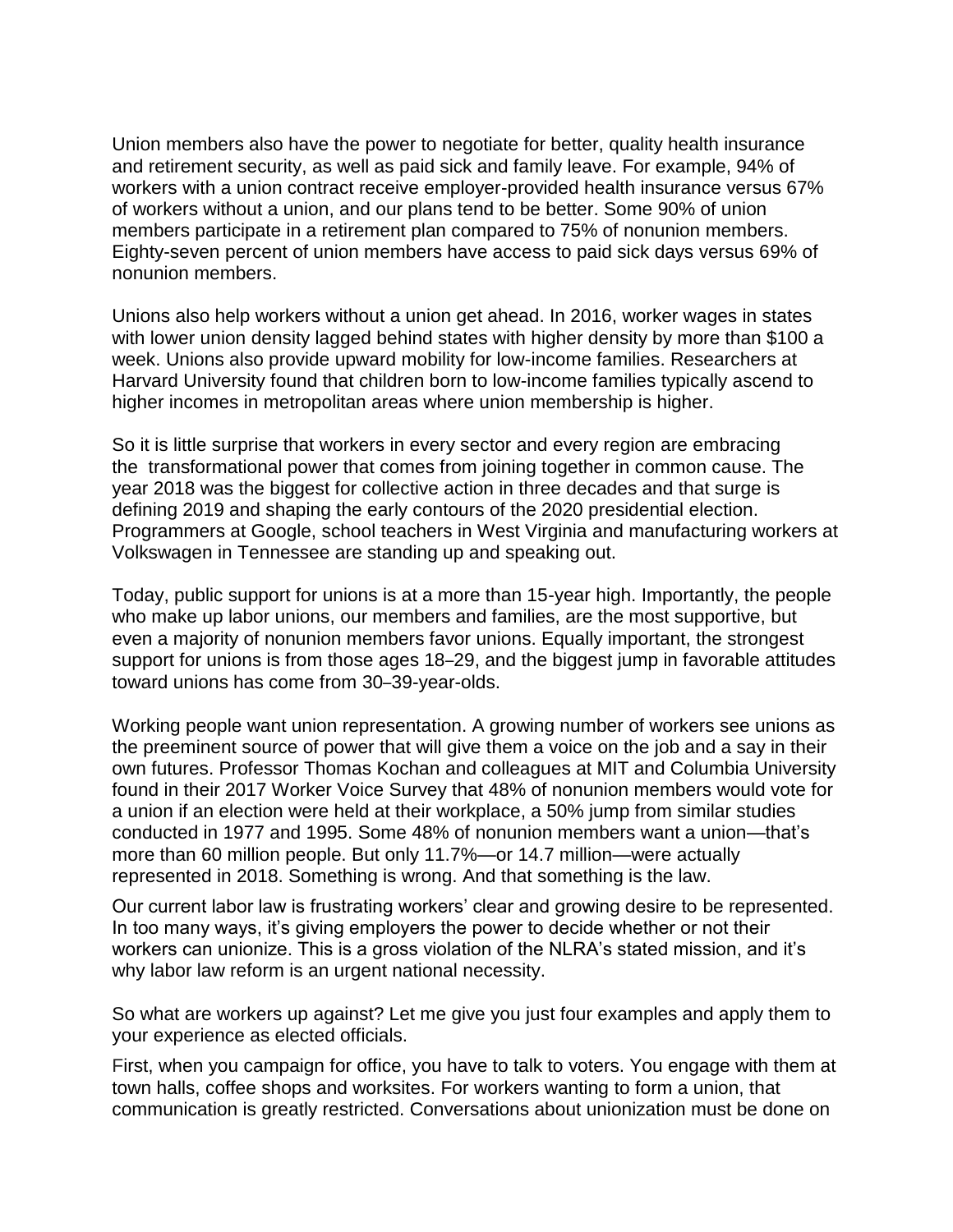Union members also have the power to negotiate for better, quality health insurance and retirement security, as well as paid sick and family leave. For example, 94% of workers with a union contract receive employer-provided health insurance versus 67% of workers without a union, and our plans tend to be better. Some 90% of union members participate in a retirement plan compared to 75% of nonunion members. Eighty-seven percent of union members have access to paid sick days versus 69% of nonunion members.

Unions also help workers without a union get ahead. In 2016, worker wages in states with lower union density lagged behind states with higher density by more than \$100 a week. Unions also provide upward mobility for low-income families. Researchers at Harvard University found that children born to low-income families typically ascend to higher incomes in metropolitan areas where union membership is higher.

So it is little surprise that workers in every sector and every region are embracing the transformational power that comes from joining together in common cause. The year 2018 was the biggest for collective action in three decades and that surge is defining 2019 and shaping the early contours of the 2020 presidential election. Programmers at Google, school teachers in West Virginia and manufacturing workers at Volkswagen in Tennessee are standing up and speaking out.

Today, public support for unions is at a more than 15-year high. Importantly, the people who make up labor unions, our members and families, are the most supportive, but even a majority of nonunion members favor unions. Equally important, the strongest support for unions is from those ages 18–29, and the biggest jump in favorable attitudes toward unions has come from 30–39-year-olds.

Working people want union representation. A growing number of workers see unions as the preeminent source of power that will give them a voice on the job and a say in their own futures. Professor Thomas Kochan and colleagues at MIT and Columbia University found in their 2017 Worker Voice Survey that 48% of nonunion members would vote for a union if an election were held at their workplace, a 50% jump from similar studies conducted in 1977 and 1995. Some 48% of nonunion members want a union—that's more than 60 million people. But only 11.7%—or 14.7 million—were actually represented in 2018. Something is wrong. And that something is the law.

Our current labor law is frustrating workers' clear and growing desire to be represented. In too many ways, it's giving employers the power to decide whether or not their workers can unionize. This is a gross violation of the NLRA's stated mission, and it's why labor law reform is an urgent national necessity.

So what are workers up against? Let me give you just four examples and apply them to your experience as elected officials.

First, when you campaign for office, you have to talk to voters. You engage with them at town halls, coffee shops and worksites. For workers wanting to form a union, that communication is greatly restricted. Conversations about unionization must be done on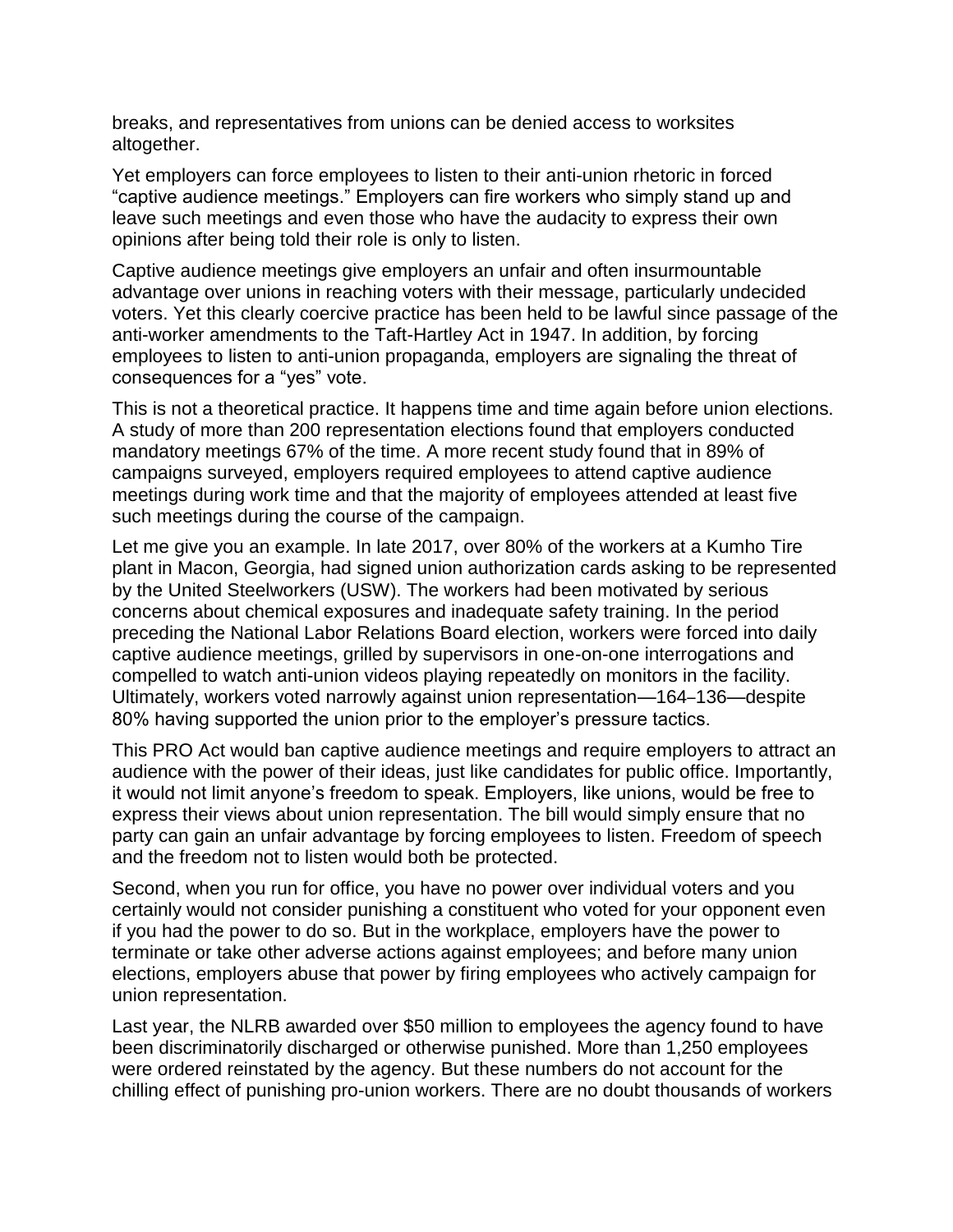breaks, and representatives from unions can be denied access to worksites altogether.

Yet employers can force employees to listen to their anti-union rhetoric in forced "captive audience meetings." Employers can fire workers who simply stand up and leave such meetings and even those who have the audacity to express their own opinions after being told their role is only to listen.

Captive audience meetings give employers an unfair and often insurmountable advantage over unions in reaching voters with their message, particularly undecided voters. Yet this clearly coercive practice has been held to be lawful since passage of the anti-worker amendments to the Taft-Hartley Act in 1947. In addition, by forcing employees to listen to anti-union propaganda, employers are signaling the threat of consequences for a "yes" vote.

This is not a theoretical practice. It happens time and time again before union elections. A study of more than 200 representation elections found that employers conducted mandatory meetings 67% of the time. A more recent study found that in 89% of campaigns surveyed, employers required employees to attend captive audience meetings during work time and that the majority of employees attended at least five such meetings during the course of the campaign.

Let me give you an example. In late 2017, over 80% of the workers at a Kumho Tire plant in Macon, Georgia, had signed union authorization cards asking to be represented by the United Steelworkers (USW). The workers had been motivated by serious concerns about chemical exposures and inadequate safety training. In the period preceding the National Labor Relations Board election, workers were forced into daily captive audience meetings, grilled by supervisors in one-on-one interrogations and compelled to watch anti-union videos playing repeatedly on monitors in the facility. Ultimately, workers voted narrowly against union representation—164–136—despite 80% having supported the union prior to the employer's pressure tactics.

This PRO Act would ban captive audience meetings and require employers to attract an audience with the power of their ideas, just like candidates for public office. Importantly, it would not limit anyone's freedom to speak. Employers, like unions, would be free to express their views about union representation. The bill would simply ensure that no party can gain an unfair advantage by forcing employees to listen. Freedom of speech and the freedom not to listen would both be protected.

Second, when you run for office, you have no power over individual voters and you certainly would not consider punishing a constituent who voted for your opponent even if you had the power to do so. But in the workplace, employers have the power to terminate or take other adverse actions against employees; and before many union elections, employers abuse that power by firing employees who actively campaign for union representation.

Last year, the NLRB awarded over \$50 million to employees the agency found to have been discriminatorily discharged or otherwise punished. More than 1,250 employees were ordered reinstated by the agency. But these numbers do not account for the chilling effect of punishing pro-union workers. There are no doubt thousands of workers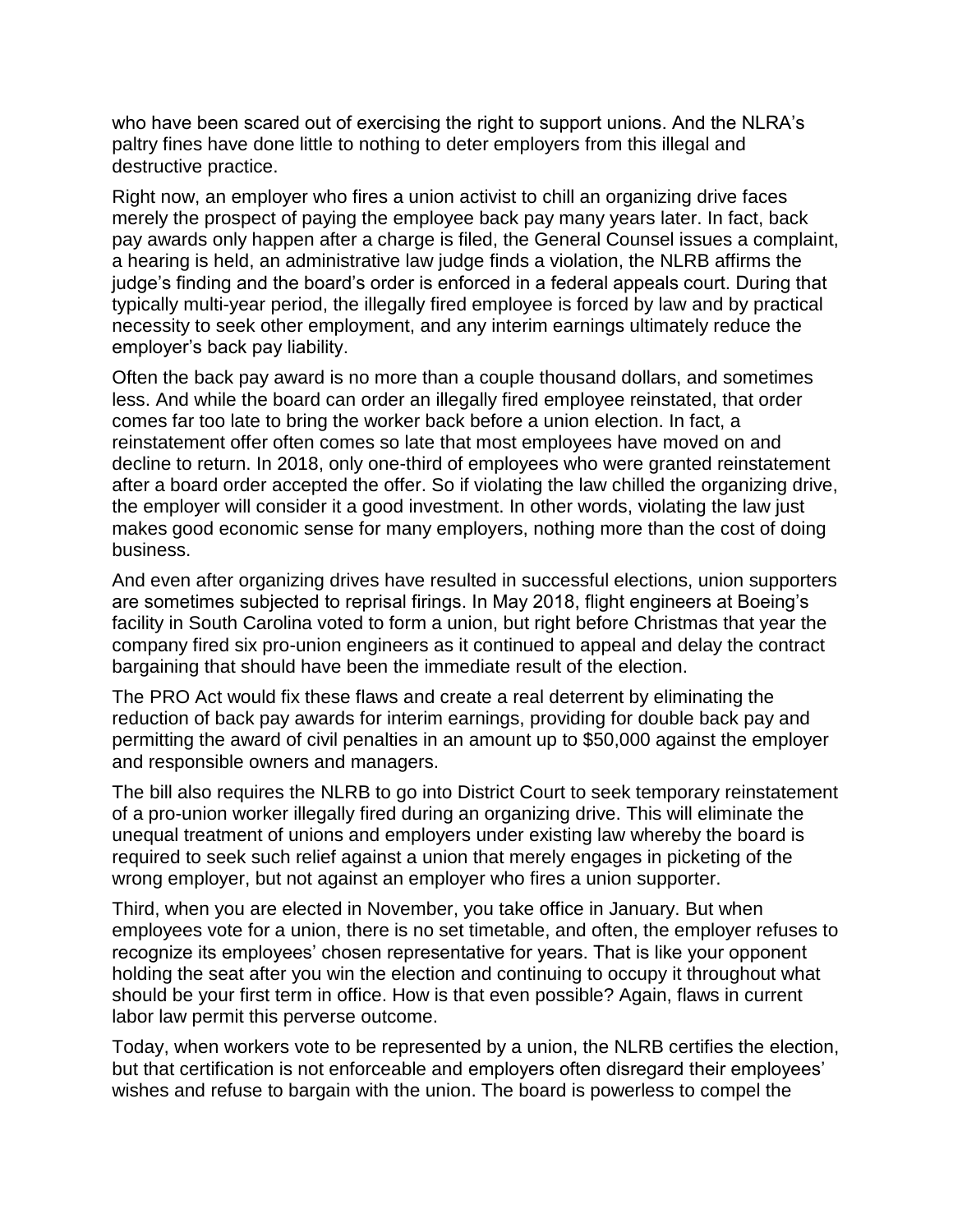who have been scared out of exercising the right to support unions. And the NLRA's paltry fines have done little to nothing to deter employers from this illegal and destructive practice.

Right now, an employer who fires a union activist to chill an organizing drive faces merely the prospect of paying the employee back pay many years later. In fact, back pay awards only happen after a charge is filed, the General Counsel issues a complaint, a hearing is held, an administrative law judge finds a violation, the NLRB affirms the judge's finding and the board's order is enforced in a federal appeals court. During that typically multi-year period, the illegally fired employee is forced by law and by practical necessity to seek other employment, and any interim earnings ultimately reduce the employer's back pay liability.

Often the back pay award is no more than a couple thousand dollars, and sometimes less. And while the board can order an illegally fired employee reinstated, that order comes far too late to bring the worker back before a union election. In fact, a reinstatement offer often comes so late that most employees have moved on and decline to return. In 2018, only one-third of employees who were granted reinstatement after a board order accepted the offer. So if violating the law chilled the organizing drive, the employer will consider it a good investment. In other words, violating the law just makes good economic sense for many employers, nothing more than the cost of doing business.

And even after organizing drives have resulted in successful elections, union supporters are sometimes subjected to reprisal firings. In May 2018, flight engineers at Boeing's facility in South Carolina voted to form a union, but right before Christmas that year the company fired six pro-union engineers as it continued to appeal and delay the contract bargaining that should have been the immediate result of the election.

The PRO Act would fix these flaws and create a real deterrent by eliminating the reduction of back pay awards for interim earnings, providing for double back pay and permitting the award of civil penalties in an amount up to \$50,000 against the employer and responsible owners and managers.

The bill also requires the NLRB to go into District Court to seek temporary reinstatement of a pro-union worker illegally fired during an organizing drive. This will eliminate the unequal treatment of unions and employers under existing law whereby the board is required to seek such relief against a union that merely engages in picketing of the wrong employer, but not against an employer who fires a union supporter.

Third, when you are elected in November, you take office in January. But when employees vote for a union, there is no set timetable, and often, the employer refuses to recognize its employees' chosen representative for years. That is like your opponent holding the seat after you win the election and continuing to occupy it throughout what should be your first term in office. How is that even possible? Again, flaws in current labor law permit this perverse outcome.

Today, when workers vote to be represented by a union, the NLRB certifies the election, but that certification is not enforceable and employers often disregard their employees' wishes and refuse to bargain with the union. The board is powerless to compel the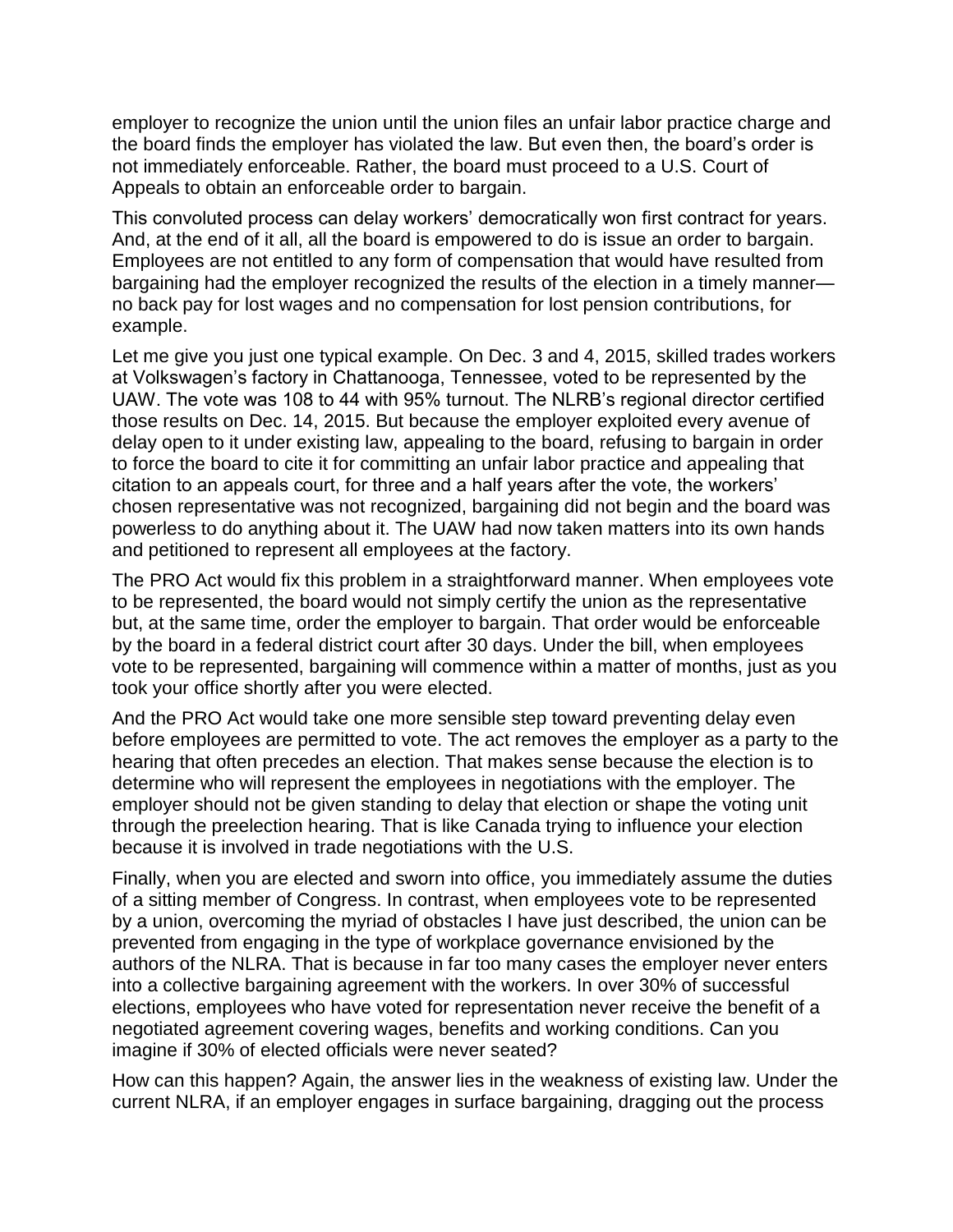employer to recognize the union until the union files an unfair labor practice charge and the board finds the employer has violated the law. But even then, the board's order is not immediately enforceable. Rather, the board must proceed to a U.S. Court of Appeals to obtain an enforceable order to bargain.

This convoluted process can delay workers' democratically won first contract for years. And, at the end of it all, all the board is empowered to do is issue an order to bargain. Employees are not entitled to any form of compensation that would have resulted from bargaining had the employer recognized the results of the election in a timely manner no back pay for lost wages and no compensation for lost pension contributions, for example.

Let me give you just one typical example. On Dec. 3 and 4, 2015, skilled trades workers at Volkswagen's factory in Chattanooga, Tennessee, voted to be represented by the UAW. The vote was 108 to 44 with 95% turnout. The NLRB's regional director certified those results on Dec. 14, 2015. But because the employer exploited every avenue of delay open to it under existing law, appealing to the board, refusing to bargain in order to force the board to cite it for committing an unfair labor practice and appealing that citation to an appeals court, for three and a half years after the vote, the workers' chosen representative was not recognized, bargaining did not begin and the board was powerless to do anything about it. The UAW had now taken matters into its own hands and petitioned to represent all employees at the factory.

The PRO Act would fix this problem in a straightforward manner. When employees vote to be represented, the board would not simply certify the union as the representative but, at the same time, order the employer to bargain. That order would be enforceable by the board in a federal district court after 30 days. Under the bill, when employees vote to be represented, bargaining will commence within a matter of months, just as you took your office shortly after you were elected.

And the PRO Act would take one more sensible step toward preventing delay even before employees are permitted to vote. The act removes the employer as a party to the hearing that often precedes an election. That makes sense because the election is to determine who will represent the employees in negotiations with the employer. The employer should not be given standing to delay that election or shape the voting unit through the preelection hearing. That is like Canada trying to influence your election because it is involved in trade negotiations with the U.S.

Finally, when you are elected and sworn into office, you immediately assume the duties of a sitting member of Congress. In contrast, when employees vote to be represented by a union, overcoming the myriad of obstacles I have just described, the union can be prevented from engaging in the type of workplace governance envisioned by the authors of the NLRA. That is because in far too many cases the employer never enters into a collective bargaining agreement with the workers. In over 30% of successful elections, employees who have voted for representation never receive the benefit of a negotiated agreement covering wages, benefits and working conditions. Can you imagine if 30% of elected officials were never seated?

How can this happen? Again, the answer lies in the weakness of existing law. Under the current NLRA, if an employer engages in surface bargaining, dragging out the process